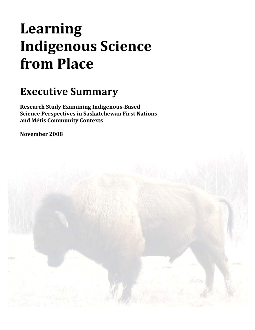# **Learning Indigenous Science from Place**

# **Executive Summary**

**Research Study Examining IndigenousBased Science Perspectives in Saskatchewan First Nations and Métis Community Contexts**

**November 2008** 

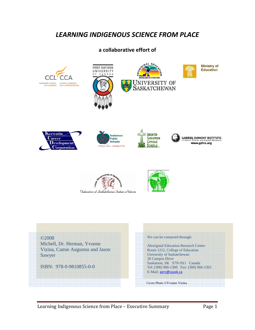### *LEARNING INDIGENOUS SCIENCE FROM PLACE*

#### **a collaborative effort of**



©2008

Michell, Dr. Herman, Yvonne Vizina, Camie Augustus and Jason Sawyer

ISBN: 978-0-9810855-0-0

#### We can be contacted through:

Aboriginal Education Research Centre Room 1212, College of Education University of Saskatchewan 28 Campus Drive Saskatoon, SK S7N 0X1 Canada Tel: (306) 966-1360 Fax: (306) 966-1363 E-Mail: aerc@usask.ca

Cover Photo ©Yvonne Vizina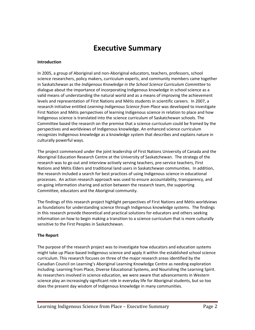## **Executive Summary**

#### **Introduction**

In 2005, a group of Aboriginal and non‐Aboriginal educators, teachers, professors, school science researchers, policy makers, curriculum experts, and community members came together in Saskatchewan as the *Indigenous Knowledge in the School Science Curriculum Committee* to dialogue about the importance of incorporating Indigenous knowledge in school science as a valid means of understanding the natural world and as a means of improving the achievement levels and representation of First Nations and Métis students in scientific careers. In 2007, a research initiative entitled *Learning Indigenous Science from Place* was developed to investigate First Nation and Métis perspectives of learning Indigenous science in relation to place and how Indigenous science is translated into the science curriculum of Saskatchewan schools. The Committee based the research on the premise that a science curriculum could be framed by the perspectives and worldviews of Indigenous knowledge. An enhanced science curriculum recognizes Indigenous knowledge as a knowledge system that describes and explains nature in culturally powerful ways.

The project commenced under the joint leadership of First Nations University of Canada and the Aboriginal Education Research Centre at the University of Saskatchewan. The strategy of the research was to go out and interview actively serving teachers, pre‐service teachers, First Nations and Métis Elders and traditional land users in Saskatchewan communities. In addition, the research included a search for best practices of using Indigenous science in educational processes. An action research approach was used to ensure accountability, transparency, and on‐going information sharing and action between the research team, the supporting Committee, educators and the Aboriginal community.

The findings of this research project highlight perspectives of First Nations and Métis worldviews as foundations for understanding science through Indigenous knowledge systems. The findings in this research provide theoretical and practical solutions for educators and others seeking information on how to begin making a transition to a science curriculum that is more culturally sensitive to the First Peoples in Saskatchewan.

#### **The Report**

The purpose of the research project was to investigate how educators and education systems might take up Place‐based Indigenous science and apply it within the established school science curriculum. This research focuses on three of the major research areas identified by the Canadian Council on Learning's Aboriginal Learning Knowledge Centre as needing exploration including: Learning from Place, Diverse Educational Systems, and Nourishing the Learning Spirit. As researchers involved in science education, we were aware that advancements in Western science play an increasingly significant role in everyday life for Aboriginal students, but so too does the present day wisdom of Indigenous knowledge in many communities.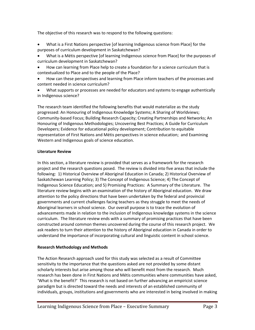The objective of this research was to respond to the following questions:

- What is a First Nations perspective [of learning Indigenous science from Place] for the purposes of curriculum development in Saskatchewan?
- What is a Métis perspective [of learning Indigenous science from Place] for the purposes of curriculum development in Saskatchewan?
- How can learning from Place help to create a foundation for a science curriculum that is contextualized to Place and to the people of the Place?
- How can these perspectives and learning from Place inform teachers of the processes and content needed in science curriculum?
- What supports or processes are needed for educators and systems to engage authentically in Indigenous science?

The research team identified the following benefits that would materialize as the study progressed: An Honouring of Indigenous Knowledge Systems; A Sharing of Worldviews; Community‐based Focus; Building Research Capacity; Creating Partnerships and Networks; An Honouring of Indigenous Methodologies; Uncovering Best Practices; A Guide for Curriculum Developers; Evidence for educational policy development; Contribution to equitable representation of First Nations and Métis perspectives in science education; and Examining Western and Indigenous goals of science education.

#### **Literature Review**

In this section, a literature review is provided that serves as a framework for the research project and the research questions posed. The review is divided into five areas that include the following: 1) Historical Overview of Aboriginal Education in Canada; 2) Historical Overview of Saskatchewan Learning Policy; 3) The Concept of Indigenous Science; 4) The Concept of Indigenous Science Education; and 5) Promising Practices: A Summary of the Literature. The literature review begins with an examination of the history of Aboriginal education. We draw attention to the policy directions that have been undertaken by the federal and provincial governments and current challenges facing teachers as they struggle to meet the needs of Aboriginal learners in school science. Our overall purpose is to trace the evolution of advancements made in relation to the inclusion of Indigenous knowledge systems in the science curriculum. The literature review ends with a summary of promising practices that have been constructed around common themes uncovered during the course of this research project. We ask readers to turn their attention to the history of Aboriginal education in Canada in order to understand the importance of incorporating cultural and linguistic content in school science.

#### **Research Methodology and Methods**

The Action Research approach used for this study was selected as a result of Committee sensitivity to the importance that the questions asked are not provided by some distant scholarly interests but arise among those who will benefit most from the research. Much research has been done in First Nations and Métis communities where communities have asked, 'What is the benefit?' This research is not based on further advancing an empiricist science paradigm but is directed toward the needs and interests of an established community of individuals, groups, institutions and governments who are interested in being involved in making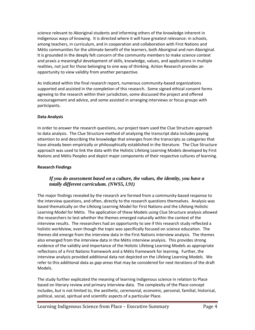science relevant to Aboriginal students and informing others of the knowledge inherent in Indigenous ways of knowing. It is directed where it will have greatest relevance: in schools, among teachers, in curriculum, and in cooperation and collaboration with First Nations and Métis communities for the ultimate benefit of the learners, both Aboriginal and non‐Aboriginal. It is grounded in the deeply felt concern of the community members to make science context and praxis a meaningful development of skills, knowledge, values, and applications in multiple realities, not just for those belonging to one way of thinking. Action Research provides an opportunity to view validity from another perspective.

As indicated within the final research report, numerous community‐based organizations supported and assisted in the completion of this research. Some signed ethical consent forms agreeing to the research within their jurisdiction, some discussed the project and offered encouragement and advice, and some assisted in arranging interviews or focus groups with participants.

#### **Data Analysis**

In order to answer the research questions, our project team used the Clue Structure approach to data analysis. The Clue Structure method of analyzing the transcript data includes paying attention to and describing the knowledge that emerges from the transcripts as categories that have already been empirically or philosophically established in the literature. The Clue Structure approach was used to link the data with the Holistic Lifelong Learning Models developed by First Nations and Métis Peoples and depict major components of their respective cultures of learning.

#### **Research Findings**

#### *If you do assessment based on a culture, the values, the identity, you have a totally different curriculum. (NWS5, l.91)*

The major findings revealed by the research are formed from a community‐based response to the interview questions, and often, directly to the research questions themselves. Analysis was based thematically on the Lifelong Learning Model for First Nations and the Lifelong Holistic Learning Model for Métis. The application of these Models using Clue Structure analysis allowed the researchers to test whether the themes emerged naturally within the context of the interview results. The researchers had an opportunity to see if this research study reflected a holistic worldview, even though the topic was specifically focused on science education. The themes did emerge from the interview data in the First Nations interview analysis. The themes also emerged from the interview data in the Métis interview analysis. This provides strong evidence of the validity and importance of the Holistic Lifelong Learning Models as appropriate reflections of a First Nations framework and a Métis framework for learning. Further, the interview analysis provided additional data not depicted on the Lifelong Learning Models. We refer to this additional data as *gap areas* that may be considered for next iterations of the draft Models.

The study further explicated the meaning of learning Indigenous science in relation to Place based on literary review and primary interview data. The complexity of the Place concept includes, but is not limited to, the aesthetic, ceremonial, economic, personal, familial, historical, political, social, spiritual and scientific aspects of a particular Place.